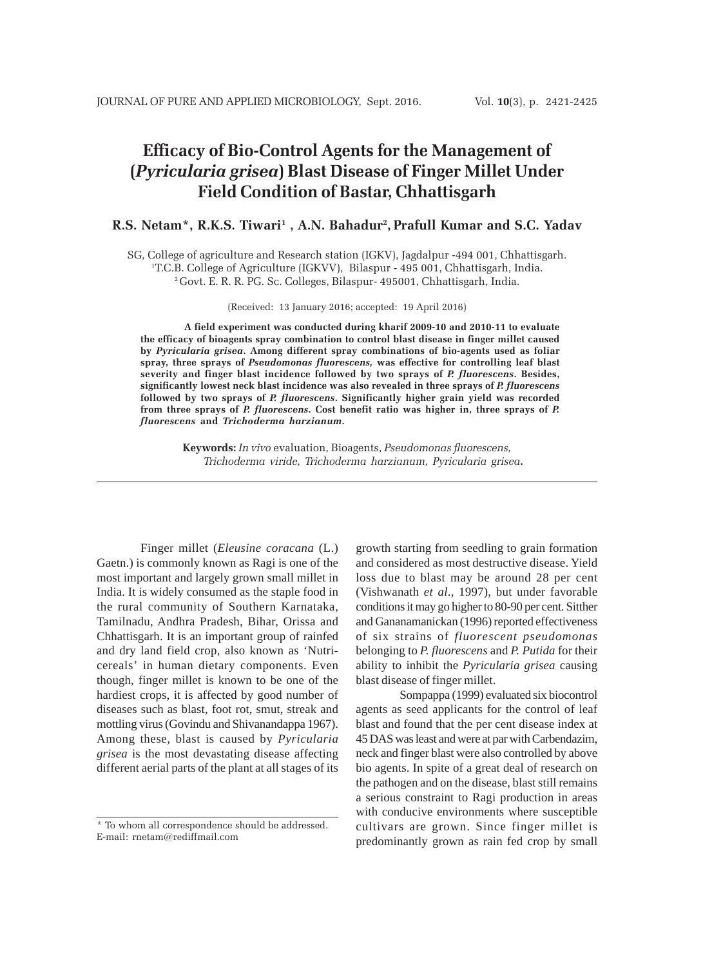# **Efficacy of Bio-Control Agents for the Management of (***Pyricularia grisea***) Blast Disease of Finger Millet Under Field Condition of Bastar, Chhattisgarh**

# **R.S. Netam\*, R.K.S. Tiwari1 , A.N. Bahadur2 , Prafull Kumar and S.C. Yadav**

SG, College of agriculture and Research station (IGKV), Jagdalpur -494 001, Chhattisgarh. 1 T.C.B. College of Agriculture (IGKVV), Bilaspur - 495 001, Chhattisgarh, India. 2 Govt. E. R. R. PG. Sc. Colleges, Bilaspur- 495001, Chhattisgarh, India.

(Received: 13 January 2016; accepted: 19 April 2016)

**A field experiment was conducted during kharif 2009-10 and 2010-11 to evaluate the efficacy of bioagents spray combination to control blast disease in finger millet caused by** *Pyricularia grisea***. Among different spray combinations of bio-agents used as foliar spray, three sprays of** *Pseudomonas fluorescens,* **was effective for controlling leaf blast severity and finger blast incidence followed by two sprays of** *P. fluorescens***. Besides, significantly lowest neck blast incidence was also revealed in three sprays of** *P. fluorescens* **followed by two sprays of** *P. fluorescens***. Significantly higher grain yield was recorded from three sprays of** *P. fluorescens***. Cost benefit ratio was higher in, three sprays of** *P. fluorescens* **and** *Trichoderma harzianum***.**

> **Keywords:** *In vivo* evaluation, Bioagents, *Pseudomonas fluorescens, Trichoderma viride, Trichoderma harzianum, Pyricularia grisea***.**

Finger millet (*Eleusine coracana* (L.) Gaetn.) is commonly known as Ragi is one of the most important and largely grown small millet in India. It is widely consumed as the staple food in the rural community of Southern Karnataka, Tamilnadu, Andhra Pradesh, Bihar, Orissa and Chhattisgarh. It is an important group of rainfed and dry land field crop, also known as 'Nutricereals' in human dietary components. Even though, finger millet is known to be one of the hardiest crops, it is affected by good number of diseases such as blast, foot rot, smut, streak and mottling virus (Govindu and Shivanandappa 1967). Among these, blast is caused by *Pyricularia grisea* is the most devastating disease affecting different aerial parts of the plant at all stages of its

growth starting from seedling to grain formation and considered as most destructive disease. Yield loss due to blast may be around 28 per cent (Vishwanath *et al*., 1997), but under favorable conditions it may go higher to 80-90 per cent. Sitther and Gananamanickan (1996) reported effectiveness of six strains of *fluorescent pseudomonas* belonging to *P. fluorescens* and *P. Putida* for their ability to inhibit the *Pyricularia grisea* causing blast disease of finger millet.

Sompappa (1999) evaluated six biocontrol agents as seed applicants for the control of leaf blast and found that the per cent disease index at 45 DAS was least and were at par with Carbendazim, neck and finger blast were also controlled by above bio agents. In spite of a great deal of research on the pathogen and on the disease, blast still remains a serious constraint to Ragi production in areas with conducive environments where susceptible cultivars are grown. Since finger millet is predominantly grown as rain fed crop by small

<sup>\*</sup> To whom all correspondence should be addressed. E-mail: rnetam@rediffmail.com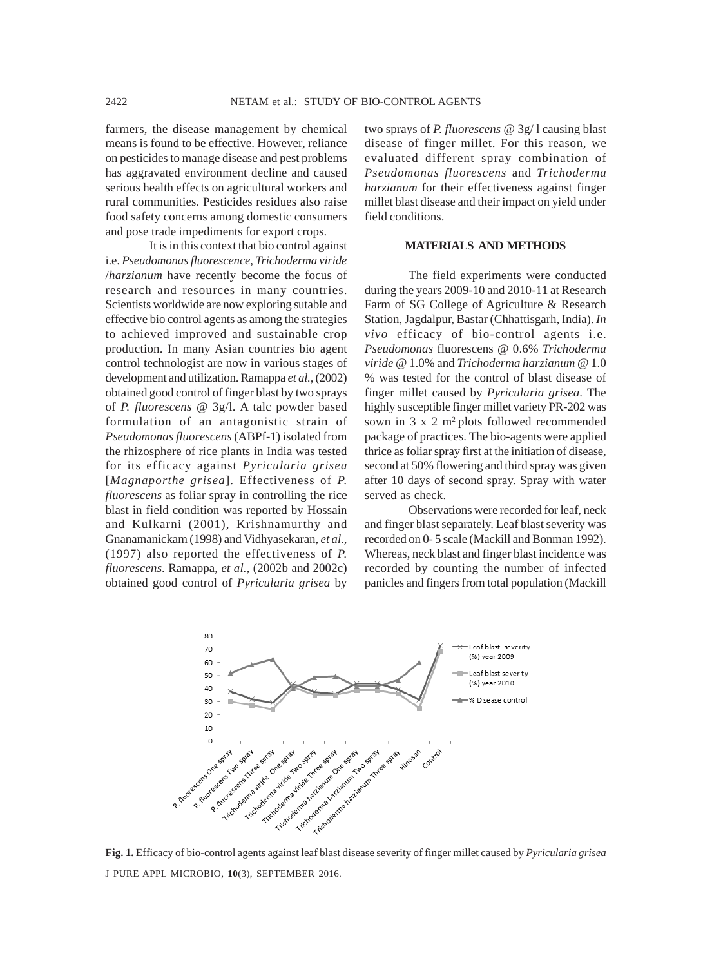farmers, the disease management by chemical means is found to be effective. However, reliance on pesticides to manage disease and pest problems has aggravated environment decline and caused serious health effects on agricultural workers and rural communities. Pesticides residues also raise food safety concerns among domestic consumers and pose trade impediments for export crops.

It is in this context that bio control against i.e. *Pseudomonas fluorescence*, *Trichoderma viride* /*harzianum* have recently become the focus of research and resources in many countries. Scientists worldwide are now exploring sutable and effective bio control agents as among the strategies to achieved improved and sustainable crop production. In many Asian countries bio agent control technologist are now in various stages of development and utilization. Ramappa *et al.,* (2002) obtained good control of finger blast by two sprays of *P. fluorescens* @ 3g/l. A talc powder based formulation of an antagonistic strain of *Pseudomonas fluorescens* (ABPf-1) isolated from the rhizosphere of rice plants in India was tested for its efficacy against *Pyricularia grisea* [*Magnaporthe grisea*]. Effectiveness of *P. fluorescens* as foliar spray in controlling the rice blast in field condition was reported by Hossain and Kulkarni (2001), Krishnamurthy and Gnanamanickam (1998) and Vidhyasekaran, *et al.,* (1997) also reported the effectiveness of *P. fluorescens*. Ramappa, *et al.,* (2002b and 2002c) obtained good control of *Pyricularia grisea* by

two sprays of *P. fluorescens* @ 3g/ l causing blast disease of finger millet. For this reason, we evaluated different spray combination of *Pseudomonas fluorescens* and *Trichoderma harzianum* for their effectiveness against finger millet blast disease and their impact on yield under field conditions.

## **MATERIALS AND METHODS**

The field experiments were conducted during the years 2009-10 and 2010-11 at Research Farm of SG College of Agriculture & Research Station, Jagdalpur, Bastar (Chhattisgarh, India). *In vivo* efficacy of bio-control agents i.e. *Pseudomonas* fluorescens @ 0.6% *Trichoderma viride* @ 1.0% and *Trichoderma harzianum* @ 1.0 % was tested for the control of blast disease of finger millet caused by *Pyricularia grisea*. The highly susceptible finger millet variety PR-202 was sown in  $3 \times 2$  m<sup>2</sup> plots followed recommended package of practices. The bio-agents were applied thrice as foliar spray first at the initiation of disease, second at 50% flowering and third spray was given after 10 days of second spray. Spray with water served as check.

Observations were recorded for leaf, neck and finger blast separately. Leaf blast severity was recorded on 0- 5 scale (Mackill and Bonman 1992). Whereas, neck blast and finger blast incidence was recorded by counting the number of infected panicles and fingers from total population (Mackill



J PURE APPL MICROBIO*,* **10**(3), SEPTEMBER 2016. **Fig. 1.** Efficacy of bio-control agents against leaf blast disease severity of finger millet caused by *Pyricularia grisea*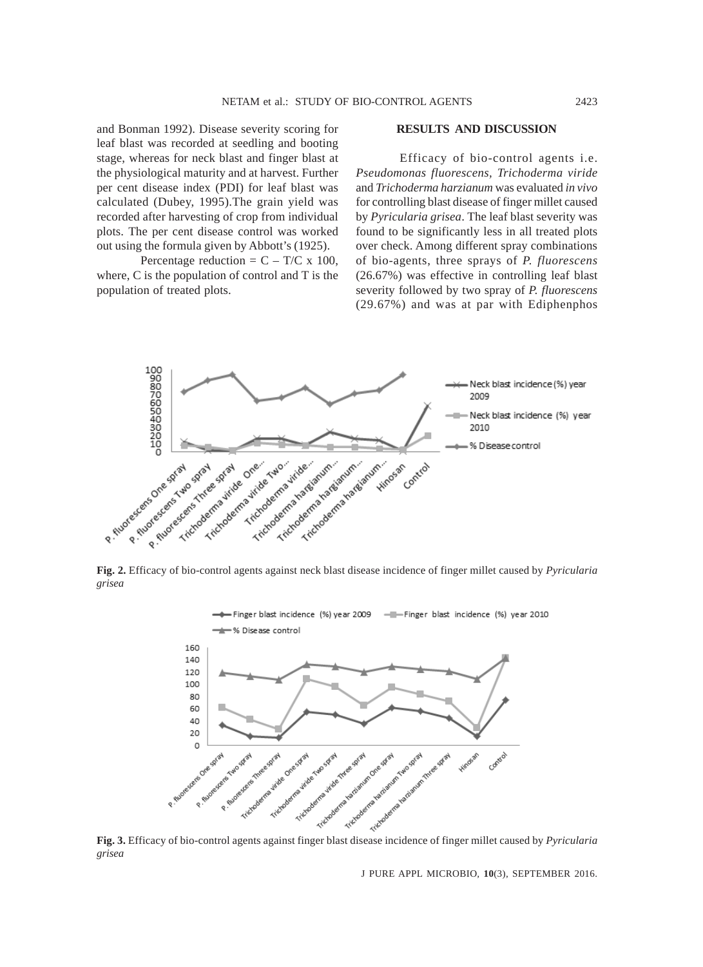and Bonman 1992). Disease severity scoring for leaf blast was recorded at seedling and booting stage, whereas for neck blast and finger blast at the physiological maturity and at harvest. Further per cent disease index (PDI) for leaf blast was calculated (Dubey, 1995).The grain yield was recorded after harvesting of crop from individual plots. The per cent disease control was worked out using the formula given by Abbott's (1925).

Percentage reduction =  $C - T/C \times 100$ , where, C is the population of control and T is the population of treated plots.

### **RESULTS AND DISCUSSION**

Efficacy of bio-control agents i.e. *Pseudomonas fluorescens, Trichoderma viride* and *Trichoderma harzianum* was evaluated *in vivo* for controlling blast disease of finger millet caused by *Pyricularia grisea*. The leaf blast severity was found to be significantly less in all treated plots over check. Among different spray combinations of bio-agents, three sprays of *P. fluorescens* (26.67%) was effective in controlling leaf blast severity followed by two spray of *P. fluorescens* (29.67%) and was at par with Ediphenphos



**Fig. 2.** Efficacy of bio-control agents against neck blast disease incidence of finger millet caused by *Pyricularia grisea*



*grisea*

J PURE APPL MICROBIO*,* **10**(3), SEPTEMBER 2016.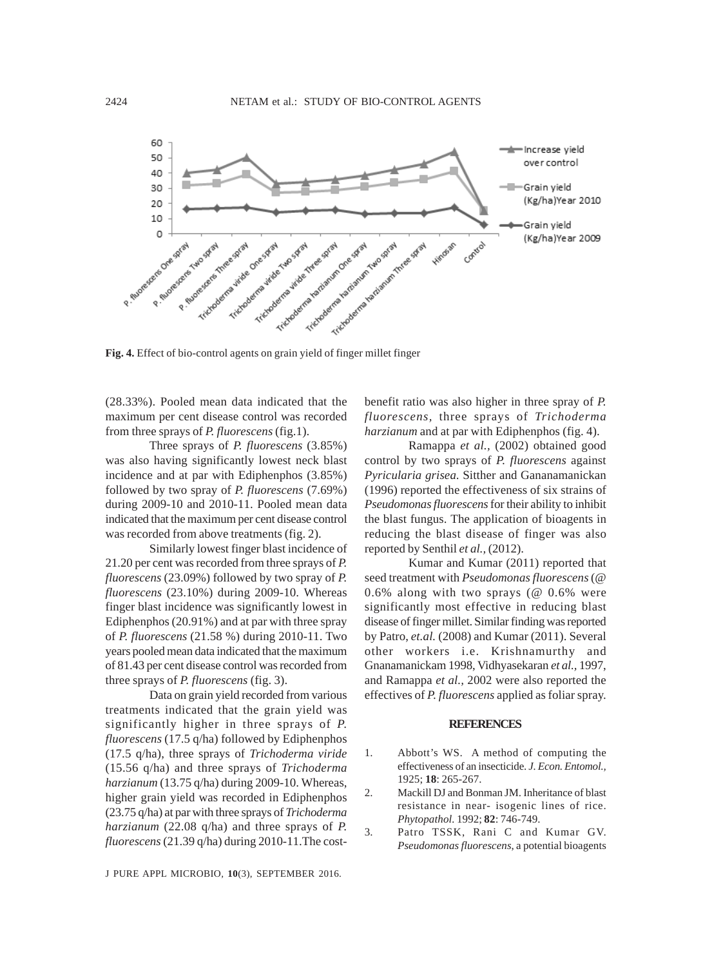

**Fig. 4.** Effect of bio-control agents on grain yield of finger millet finger

(28.33%). Pooled mean data indicated that the maximum per cent disease control was recorded from three sprays of *P. fluorescens* (fig.1).

Three sprays of *P. fluorescens* (3.85%) was also having significantly lowest neck blast incidence and at par with Ediphenphos (3.85%) followed by two spray of *P. fluorescens* (7.69%) during 2009-10 and 2010-11. Pooled mean data indicated that the maximum per cent disease control was recorded from above treatments (fig. 2).

Similarly lowest finger blast incidence of 21.20 per cent was recorded from three sprays of *P. fluorescens* (23.09%) followed by two spray of *P. fluorescens* (23.10%) during 2009-10. Whereas finger blast incidence was significantly lowest in Ediphenphos (20.91%) and at par with three spray of *P. fluorescens* (21.58 %) during 2010-11. Two years pooled mean data indicated that the maximum of 81.43 per cent disease control was recorded from three sprays of *P. fluorescens* (fig. 3).

Data on grain yield recorded from various treatments indicated that the grain yield was significantly higher in three sprays of *P. fluorescens* (17.5 q/ha) followed by Ediphenphos (17.5 q/ha), three sprays of *Trichoderma viride* (15.56 q/ha) and three sprays of *Trichoderma harzianum* (13.75 q/ha) during 2009-10. Whereas, higher grain yield was recorded in Ediphenphos (23.75 q/ha) at par with three sprays of *Trichoderma harzianum* (22.08 q/ha) and three sprays of *P. fluorescens* (21.39 q/ha) during 2010-11.The cost-

J PURE APPL MICROBIO*,* **10**(3), SEPTEMBER 2016.

benefit ratio was also higher in three spray of *P. fluorescens,* three sprays of *Trichoderma harzianum* and at par with Ediphenphos (fig. 4).

Ramappa *et al.,* (2002) obtained good control by two sprays of *P. fluorescens* against *Pyricularia grisea*. Sitther and Gananamanickan (1996) reported the effectiveness of six strains of *Pseudomonas fluorescens* for their ability to inhibit the blast fungus. The application of bioagents in reducing the blast disease of finger was also reported by Senthil *et al.,* (2012).

Kumar and Kumar (2011) reported that seed treatment with *Pseudomonas fluorescens* (@ 0.6% along with two sprays (@ 0.6% were significantly most effective in reducing blast disease of finger millet. Similar finding was reported by Patro, *et.al.* (2008) and Kumar (2011). Several other workers i.e. Krishnamurthy and Gnanamanickam 1998, Vidhyasekaran *et al.,* 1997, and Ramappa *et al.,* 2002 were also reported the effectives of *P. fluorescens* applied as foliar spray.

### **REFERENCES**

- 1. Abbott's WS. A method of computing the effectiveness of an insecticide. *J. Econ. Entomol.,* 1925; **18**: 265-267.
- 2. Mackill DJ and Bonman JM. Inheritance of blast resistance in near- isogenic lines of rice. *Phytopathol.* 1992; **82**: 746-749.
- 3. Patro TSSK, Rani C and Kumar GV. *Pseudomonas fluorescens*, a potential bioagents